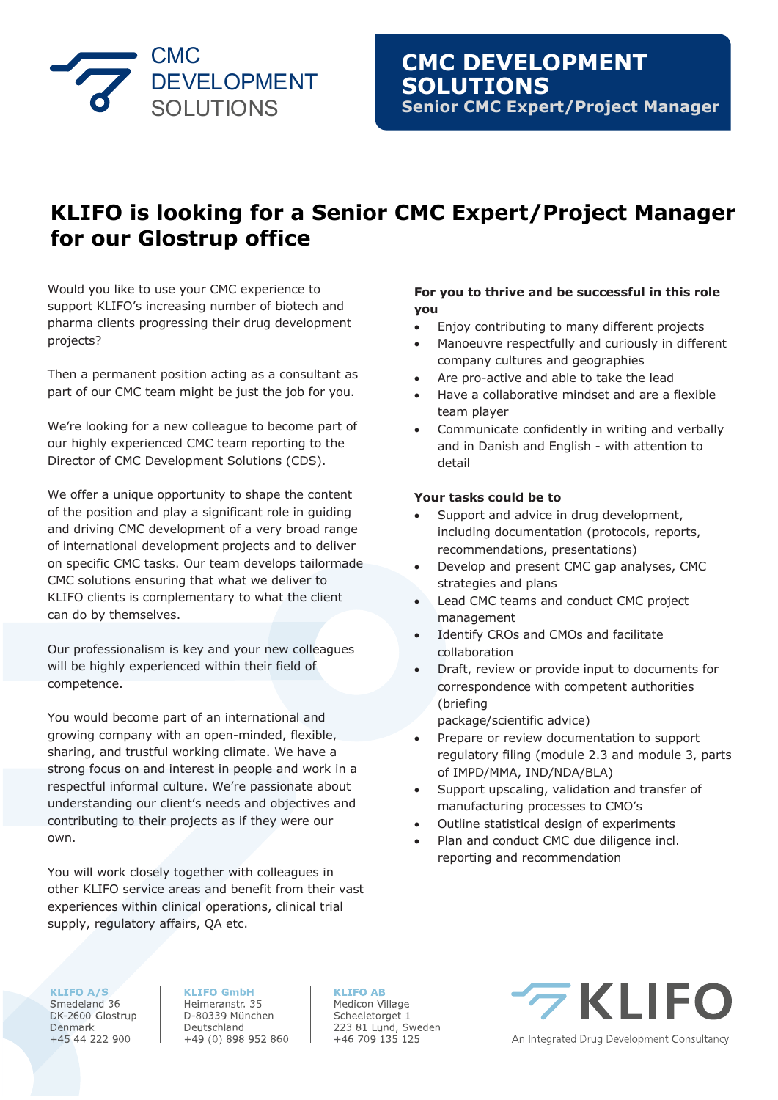

# **KLIFO is looking for a Senior CMC Expert/Project Manager for our Glostrup office**

Would you like to use your CMC experience to support KLIFO's increasing number of biotech and pharma clients progressing their drug development projects?

Then a permanent position acting as a consultant as part of our CMC team might be just the job for you.

We're looking for a new colleague to become part of our highly experienced CMC team reporting to the Director of CMC Development Solutions (CDS).

We offer a unique opportunity to shape the content of the position and play a significant role in guiding and driving CMC development of a very broad range of international development projects and to deliver on specific CMC tasks. Our team develops tailormade CMC solutions ensuring that what we deliver to KLIFO clients is complementary to what the client can do by themselves.

Our professionalism is key and your new colleagues will be highly experienced within their field of competence.

You would become part of an international and growing company with an open-minded, flexible, sharing, and trustful working climate. We have a strong focus on and interest in people and work in a respectful informal culture. We're passionate about understanding our client's needs and objectives and contributing to their projects as if they were our own.

You will work closely together with colleagues in other KLIFO service areas and benefit from their vast experiences within clinical operations, clinical trial supply, regulatory affairs, QA etc.

### **For you to thrive and be successful in this role you**

- Enjoy contributing to many different projects
- Manoeuvre respectfully and curiously in different company cultures and geographies
- Are pro-active and able to take the lead
- Have a collaborative mindset and are a flexible team player
- Communicate confidently in writing and verbally and in Danish and English - with attention to detail

## **Your tasks could be to**

- Support and advice in drug development, including documentation (protocols, reports, recommendations, presentations)
- Develop and present CMC gap analyses, CMC strategies and plans
- Lead CMC teams and conduct CMC project management
- Identify CROs and CMOs and facilitate collaboration
- Draft, review or provide input to documents for correspondence with competent authorities (briefing
	- package/scientific advice)
- Prepare or review documentation to support regulatory filing (module 2.3 and module 3, parts of IMPD/MMA, IND/NDA/BLA)
- Support upscaling, validation and transfer of manufacturing processes to CMO's
- Outline statistical design of experiments
- Plan and conduct CMC due diligence incl. reporting and recommendation

**KLIFO A/S** 

Smedeland 36 DK-2600 Glostrup Denmark +45 44 222 900

**KLIFO GmbH** Heimeranstr. 35 D-80339 München Deutschland +49 (0) 898 952 860 **KLIFO AB** Medicon Village Scheeletorget 1 223 81 Lund, Sweden

+46 709 135 125

 $7$ KI IFO

An Integrated Drug Development Consultancy